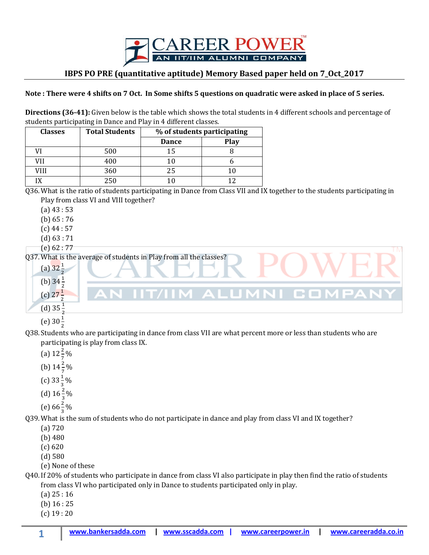

## **IBPS PO PRE (quantitative aptitude) Memory Based paper held on 7\_Oct\_2017**

## **Note : There were 4 shifts on 7 Oct. In Some shifts 5 questions on quadratic were asked in place of 5 series.**

**Directions (36-41):** Given below is the table which shows the total students in 4 different schools and percentage of students participating in Dance and Play in 4 different classes.

| <b>Classes</b> | <b>Total Students</b> | % of students participating |      |
|----------------|-----------------------|-----------------------------|------|
|                |                       | <b>Dance</b>                | Play |
|                | 500                   | 15                          |      |
|                | 400                   |                             |      |
| VIII           | 360                   | 25                          |      |
|                | 250                   |                             |      |

## Q36. What is the ratio of students participating in Dance from Class VII and IX together to the students participating in Play from class VI and VIII together?

(a) 43 : 53

(b) 65 : 76

 $(c)$  44 : 57

(d) 63 : 71

(e) 62 : 77

Q37. What is the average of students in Play from all the classes?

- (a)  $32\frac{1}{2}$ (b)  $34\frac{1}{2}$  $(c)$  27 $\frac{1}{2}$ (d)  $35\frac{1}{2}$ (e)  $30\frac{1}{2}$
- Q38. Students who are participating in dance from class VII are what percent more or less than students who are participating is play from class IX.
	- (a)  $12\frac{2}{7}\%$
	- (b)  $14\frac{2}{7}\%$
	- (c)  $33\frac{1}{3}\%$
	-
	- (d)  $16\frac{2}{3}\%$
	- (e)  $66\frac{2}{3}\%$

Q39. What is the sum of students who do not participate in dance and play from class VI and IX together?

- (a) 720
- (b) 480
- (c) 620
- (d) 580
- (e) None of these

Q40. If 20% of students who participate in dance from class VI also participate in play then find the ratio of students from class VI who participated only in Dance to students participated only in play.

- (a) 25 : 16
- (b) 16 : 25
- (c) 19 : 20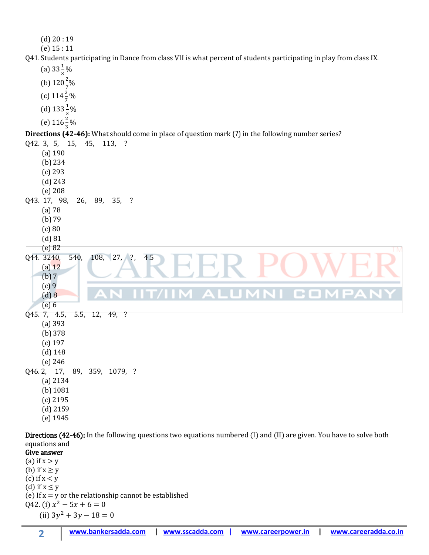

Directions (42-46): In the following questions two equations numbered (I) and (II) are given. You have to solve both equations and

Give answer (a) if  $x > y$ (b) if  $x \ge y$ (c) if  $x < y$ (d) if  $x \leq y$ (e) If  $x = y$  or the relationship cannot be established Q42. (i)  $x^2$  $(ii)$   $3y^2$ 

**2**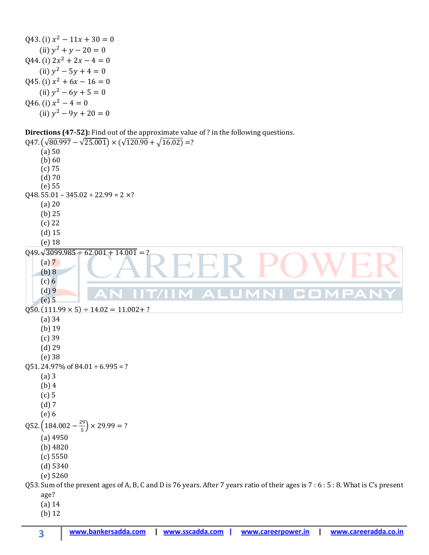Q43. (i)  $x^2$  $(ii) y<sup>2</sup>$ Q44. (i)  $2x^2$  $(ii) y<sup>2</sup>$ Q45. (i)  $x^2$  $(ii) y<sup>2</sup>$ Q46. (i)  $x^2$  $(ii) y<sup>2</sup>$ 

## **Directions (47-52):** Find out of the approximate value of ? in the following questions.

 $Q47. (\sqrt{80.997} - \sqrt{25.001}) \times (\sqrt{120.90} + \sqrt{16.02}) = ?$ (a) 50 (b) 60 (c) 75 (d) 70 (e) 55  $Q48.55.01 - 345.02 \div 22.99 = 2 \times?$ (a) 20 (b) 25 (c) 22 (d) 15 (e) 18 **TM**  $Q49.\sqrt{3099.985 \div 62.001 + 14.001} = ?$  $(a) 7$ (b) 8  $(c) 6$ (d) 9 **The Contract of the Contract of the Contract of the Contract of the Contract of the Contract of the Contract o** (e) 5  $Q50. (111.99 \times 5) \div 14.02 = 11.002 + ?$ (a) 34 (b) 19 (c) 39 (d) 29 (e) 38 Q51. 24.97% of  $84.01 \div 6.995 = ?$ (a) 3 (b) 4 (c) 5 (d) 7 (e) 6  $Q52. (184.002 - \frac{2}{5})$  $\frac{5}{5}$ )  $\times$ (a) 4950 (b) 4820 (c) 5550 (d) 5340 (e) 5260 Q53. Sum of the present ages of A, B, C and D is 76 years. After 7 years ratio of their ages is 7 : 6 : 5 : 8. What is C's present age? (a) 14 (b) 12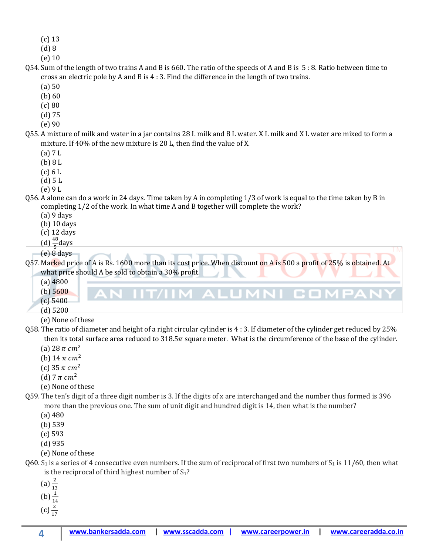- (c) 13
- (d) 8
- (e) 10
- Q54. Sum of the length of two trains A and B is 660. The ratio of the speeds of A and B is 5 : 8. Ratio between time to cross an electric pole by A and B is 4 : 3. Find the difference in the length of two trains.
	- (a) 50
	- (b) 60
	- (c) 80
	- (d) 75
	- (e) 90
- Q55. A mixture of milk and water in a jar contains 28 L milk and 8 L water. X L milk and X L water are mixed to form a mixture. If 40% of the new mixture is 20 L, then find the value of X.
	- (a) 7 L
	- (b) 8 L
	- $(c) 6 L$
	- (d) 5 L
	- (e) 9 L
- Q56. A alone can do a work in 24 days. Time taken by A in completing 1/3 of work is equal to the time taken by B in completing 1/2 of the work. In what time A and B together will complete the work?
	- (a) 9 days
	- (b) 10 days
	- (c) 12 days
	- $(d) \frac{46}{5}$ days
	- (e) 8 days

Q57. Marked price of A is Rs. 1600 more than its cost price. When discount on A is 500 a profit of 25% is obtained. At what price should A be sold to obtain a 30% profit.

M AI

- (a) 4800
- (b) 5600
- (c) 5400
- (d) 5200
- (e) None of these
- Q58. The ratio of diameter and height of a right circular cylinder is 4 : 3. If diameter of the cylinder get reduced by 25% then its total surface area reduced to  $318.5\pi$  square meter. What is the circumference of the base of the cylinder.
	- (a)  $28 \pi cm^2$
	- (b) 14  $\pi$  cm<sup>2</sup>
	- (c)  $35 \pi$  cm<sup>2</sup>
	- (d)  $7 \pi \, \text{cm}^2$
	- (e) None of these
- Q59. The ten's digit of a three digit number is 3. If the digits of x are interchanged and the number thus formed is 396 more than the previous one. The sum of unit digit and hundred digit is 14, then what is the number?
	- (a) 480
	- (b) 539
	- (c) 593
	- (d) 935
	- (e) None of these
- Q60. S<sub>1</sub> is a series of 4 consecutive even numbers. If the sum of reciprocal of first two numbers of S<sub>1</sub> is 11/60, then what is the reciprocal of third highest number of  $S_1$ ?
	- $(a) \frac{2}{1}$
	- $(b) \frac{1}{1}$
	- $(c) \frac{1}{1}$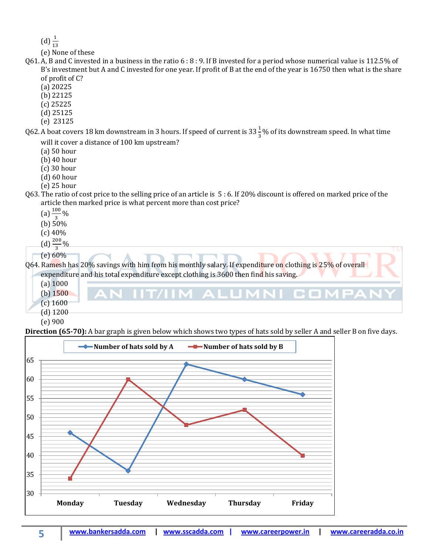$(d) \frac{1}{1}$ 

(e) None of these

- Q61. A, B and C invested in a business in the ratio 6 : 8 : 9. If B invested for a period whose numerical value is 112.5% of B's investment but A and C invested for one year. If profit of B at the end of the year is 16750 then what is the share of profit of C?
	- (a) 20225
	- (b) 22125
	- (c) 25225
	- (d) 25125
	- (e) 23125
- Q62. A boat covers 18 km downstream in 3 hours. If speed of current is 33  $\frac{1}{3}$ % of its downstream speed. In what time will it cover a distance of 100 km upstream?
	- (a) 50 hour
	- (b) 40 hour
	- (c) 30 hour
	- (d) 60 hour
	- (e) 25 hour
- Q63. The ratio of cost price to the selling price of an article is 5 : 6. If 20% discount is offered on marked price of the article then marked price is what percent more than cost price?
	- $(a) \frac{100}{3}\%$
	- (b) 50%
	- (c) 40%
	-
	- $(d) \frac{200}{3}\%$
	- (e) 60%

Q64. Ramesh has 20% savings with him from his monthly salary. If expenditure on clothing is 25% of overall expenditure and his total expenditure except clothing is 3600 then find his saving.



**Direction (65-70):** A bar graph is given below which shows two types of hats sold by seller A and seller B on five days.